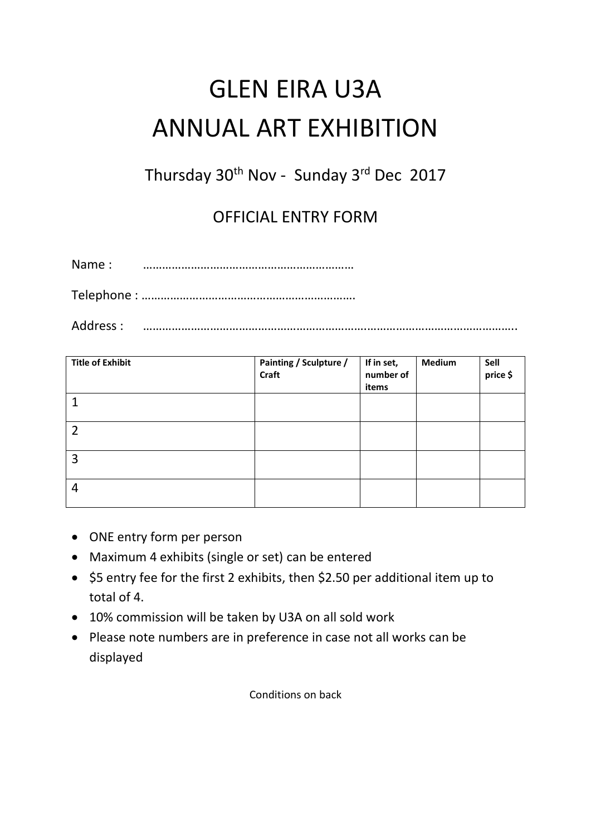## GLEN EIRA U3A ANNUAL ART EXHIBITION

Thursday 30<sup>th</sup> Nov - Sunday 3<sup>rd</sup> Dec 2017

OFFICIAL ENTRY FORM

Name : …………………………………………………………

Telephone : ………………………………………………………….

Address : …………………………………………………………….………………………………………..

| <b>Title of Exhibit</b> | Painting / Sculpture /<br>Craft | If in set,<br>number of<br>items | <b>Medium</b> | Sell<br>price \$ |
|-------------------------|---------------------------------|----------------------------------|---------------|------------------|
|                         |                                 |                                  |               |                  |
| $\overline{2}$          |                                 |                                  |               |                  |
| 3                       |                                 |                                  |               |                  |
| 4                       |                                 |                                  |               |                  |

- ONE entry form per person
- Maximum 4 exhibits (single or set) can be entered
- \$5 entry fee for the first 2 exhibits, then \$2.50 per additional item up to total of 4.
- 10% commission will be taken by U3A on all sold work
- Please note numbers are in preference in case not all works can be displayed

Conditions on back